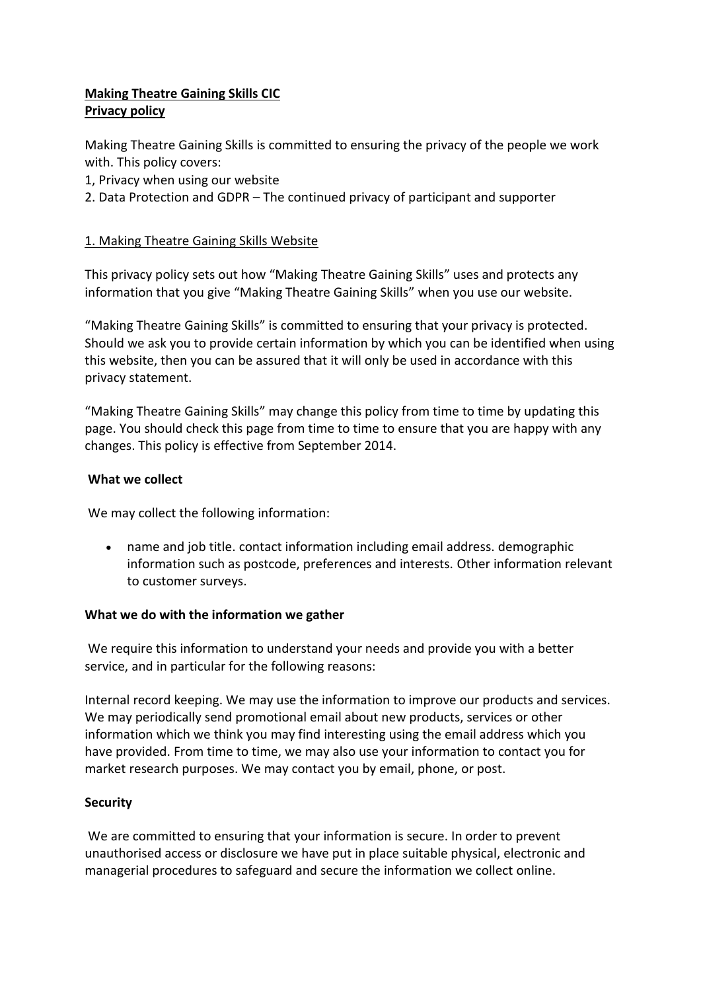# **Making Theatre Gaining Skills CIC Privacy policy**

Making Theatre Gaining Skills is committed to ensuring the privacy of the people we work with. This policy covers:

- 1, Privacy when using our website
- 2. Data Protection and GDPR The continued privacy of participant and supporter

### 1. Making Theatre Gaining Skills Website

This privacy policy sets out how "Making Theatre Gaining Skills" uses and protects any information that you give "Making Theatre Gaining Skills" when you use our website.

"Making Theatre Gaining Skills" is committed to ensuring that your privacy is protected. Should we ask you to provide certain information by which you can be identified when using this website, then you can be assured that it will only be used in accordance with this privacy statement.

"Making Theatre Gaining Skills" may change this policy from time to time by updating this page. You should check this page from time to time to ensure that you are happy with any changes. This policy is effective from September 2014.

## **What we collect**

We may collect the following information:

 name and job title. contact information including email address. demographic information such as postcode, preferences and interests. Other information relevant to customer surveys.

### **What we do with the information we gather**

We require this information to understand your needs and provide you with a better service, and in particular for the following reasons:

Internal record keeping. We may use the information to improve our products and services. We may periodically send promotional email about new products, services or other information which we think you may find interesting using the email address which you have provided. From time to time, we may also use your information to contact you for market research purposes. We may contact you by email, phone, or post.

### **Security**

We are committed to ensuring that your information is secure. In order to prevent unauthorised access or disclosure we have put in place suitable physical, electronic and managerial procedures to safeguard and secure the information we collect online.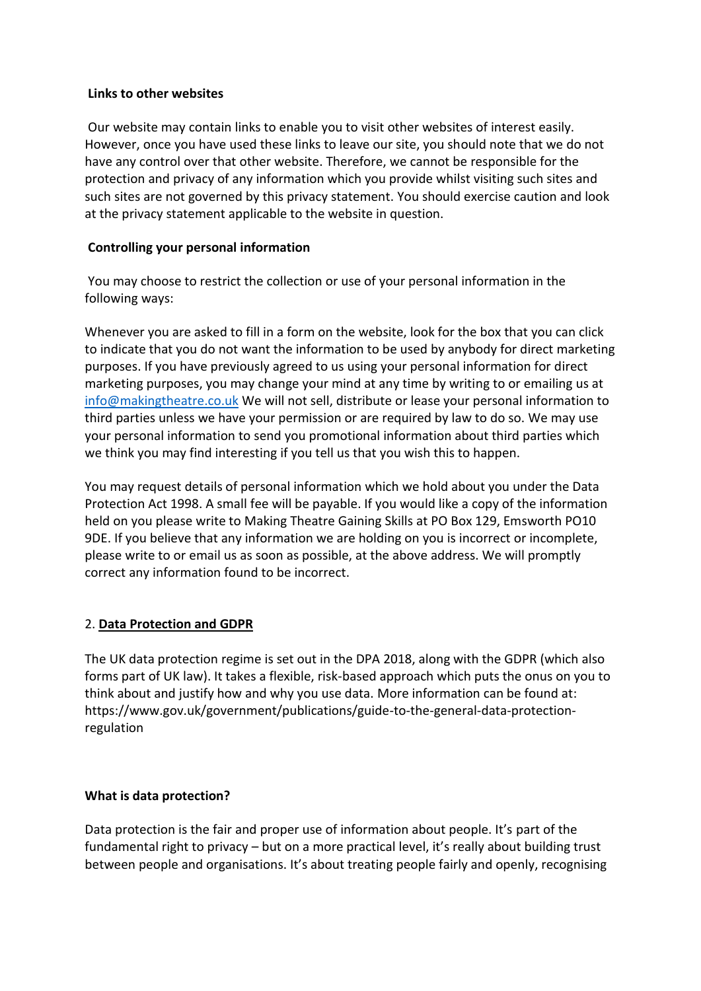#### **Links to other websites**

Our website may contain links to enable you to visit other websites of interest easily. However, once you have used these links to leave our site, you should note that we do not have any control over that other website. Therefore, we cannot be responsible for the protection and privacy of any information which you provide whilst visiting such sites and such sites are not governed by this privacy statement. You should exercise caution and look at the privacy statement applicable to the website in question.

#### **Controlling your personal information**

You may choose to restrict the collection or use of your personal information in the following ways:

Whenever you are asked to fill in a form on the website, look for the box that you can click to indicate that you do not want the information to be used by anybody for direct marketing purposes. If you have previously agreed to us using your personal information for direct marketing purposes, you may change your mind at any time by writing to or emailing us at [info@makingtheatre.co.uk](mailto:info@makingtheatre.co.uk) We will not sell, distribute or lease your personal information to third parties unless we have your permission or are required by law to do so. We may use your personal information to send you promotional information about third parties which we think you may find interesting if you tell us that you wish this to happen.

You may request details of personal information which we hold about you under the Data Protection Act 1998. A small fee will be payable. If you would like a copy of the information held on you please write to Making Theatre Gaining Skills at PO Box 129, Emsworth PO10 9DE. If you believe that any information we are holding on you is incorrect or incomplete, please write to or email us as soon as possible, at the above address. We will promptly correct any information found to be incorrect.

### 2. **Data Protection and GDPR**

The UK data protection regime is set out in the DPA 2018, along with the GDPR (which also forms part of UK law). It takes a flexible, risk-based approach which puts the onus on you to think about and justify how and why you use data. More information can be found at: https://www.gov.uk/government/publications/guide-to-the-general-data-protectionregulation

#### **What is data protection?**

Data protection is the fair and proper use of information about people. It's part of the fundamental right to privacy – but on a more practical level, it's really about building trust between people and organisations. It's about treating people fairly and openly, recognising